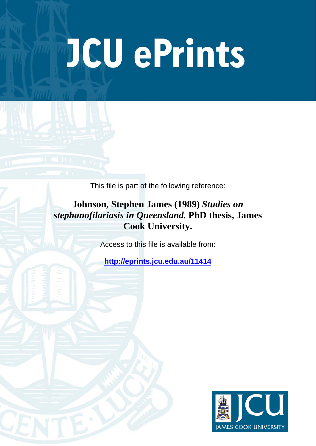# **JCU ePrints**

This file is part of the following reference:

**Johnson, Stephen James (1989)** *Studies on stephanofilariasis in Queensland.* **PhD thesis, James Cook University.**

Access to this file is available from:

**<http://eprints.jcu.edu.au/11414>**

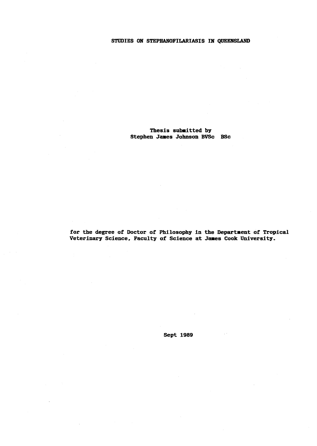## STUDIES ON STEPHANOFILARIASIS IN QUEENSLAND

# Thesis subaitted by Stephen James Johnson BVSc BSc

for the degree of Doctor of Philosophy in the Department of Tropical Veterinary Science, Faculty of Science at James Cook University.

Sept 1989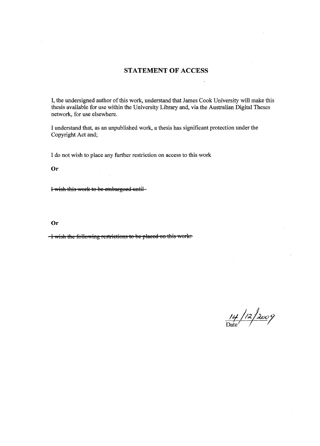# STATEMENT **OF** ACCESS

I, the undersigned author of this work, understand that James Cook University will make this thesis available for use within the University Library and, via the Australian Digital Theses network, for use elsewhere.

I understand that, as an unpublished work, a thesis has significant protection under the Copyright Act and;

I do not wish to place any further restriction on access to this work

Or

I-wish this work to be embargoed until-

Or

I wish the following restrictions to be placed on this work.

 $\frac{14}{\text{Date}}$ /2/2009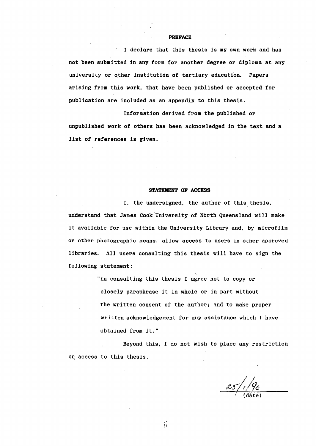#### **PREFACE**

I declare that this thesis is my own work and has not been submitted in any form for another degree or diploma at any university or other institution of tertiary education. Papers arising from this work, that have been published or accepted for publication are included as an appendix to this thesis.

Information derived from the published or unpublished work· of others has been acknowledged in the text and a *list* of references is given.

#### **STATEMENT OF ACCESS**

I, the undersigned, the author of this thesis, understand that James Cook'University of North Queensland will make it available for use within the University Library and, by microfilm or other photographic means, allow access to users in other approved libraries. All users consulting this thesis will have to sign the following statement:

> "In consulting this thesis I agree not to copy or closely paraphrase it in whole or in part without the written consent of the author; and to make proper written acknowledgement for any assistance which I have obtained from it."

Beyond this, I do not wish to place any restriction on access to this thesis.

 $\sqrt{(\text{date})}$ 

/1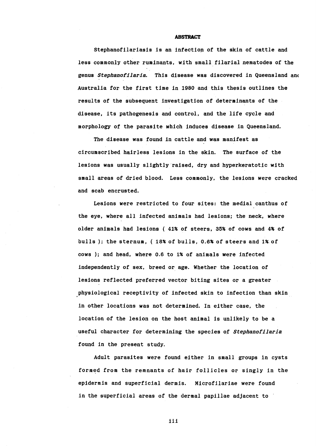#### **ABSTRACT**

Stephanofilariasis is an infection of the skin of cattle and less commonly other ruminants, with small filarial nematodes of the genus *Stephanofilaria.* This disease was discovered *in* Queensland an( Australia for the first time in 1980 and this thesis outlines the results of the subsequent investigation of determinants of the disease, its pathogenesis and control, and the life cycle and morphology of the parasite which induces disease in Queensland.

The disease was found in cattle and was manifest as circumscribed hairless lesions in the skin. The surface of the lesions was usually slightly raised, dry and hyperkeratotic with small areas of dried blood. Less commonly, the lesions were cracked and scab encrusted.

Lesions were restricted to four sites: the medial canthus of the eye, where all infected animals had lesions; the neck, where older animals had lesions ( 41% of steers, 35% of cows and 4% of bulls); the sternum, ( 18% of bulls, 0.6% of steers and 1% of cows ); and head, where 0.6 to 1% of animals were infected independently of sex, breed or age. Whether the location of lesions reflected preferred vector biting sites or a greater physiological receptivity of infected skin to infection than skin *in* other locations was not determined. In either case, the location of the lesion on the host animal is unlikely to be a useful character for determining the species of *Stephanofilaria*  found in the present study.

Adult parasites were found either *in* small groups in cysts formed from the remnants of hair follicles or singly in the epidermis and superficial dermis. Microfilariae were found in the superficial areas of the dermal papillae adjacent to

iii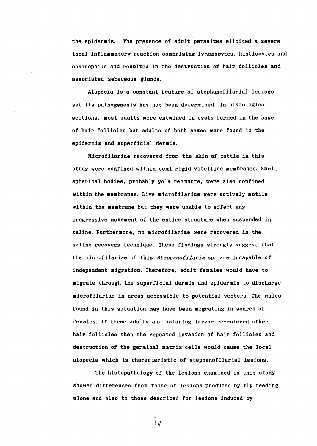the epidermis. The presence of adult parasites elicited a severe local inflammatory reaction comprising lymphocytes, histiocytes and eosinophils and resulted in the destruction of hair follicles and associated sebaceous glands.

Alopecia is a constant feature of stephanofilarial lesions yet its pathogenesis has not been determined. In histological sections, most adults were entwined in cysts formed in the base of hair follicles but adults of both sexes were found *in* the epidermis and superficial dermis.

Microfilariae recovered from the skin of cattle in this study were confined within seai rigid vitelline membranes. Small spherical bodies, probably yolk remnants, were also confined within the membranes. Live microfilariae were actively motile within the membrane but they were unable to effect any progressive movement of the entire structure when suspended *in*  saline. Furthermore, no microfilariae were recovered in the saline recovery technique. These findings strongly suggest that the microfilariae of this *Stephanofilaria* sp. are incapable of independent migration. Therefore, adult females would have to migrate through the superficial dermis and epidermis to discharge microfilariae in areas accessible to potential vectors. The males found in this situation may have been migrating in search of females. If these adults and maturing larvae re-entered other hair follicles then the repeated invasion of hair follicles and destruction of the germinal matrix cells would cause the local alopecia which is characteristic of stephanofilarial lesions.

The histopathology of the lesions examined in this study showed differences from those of lesions produced by fly feeding alone and also to those described for lesions induced by

tv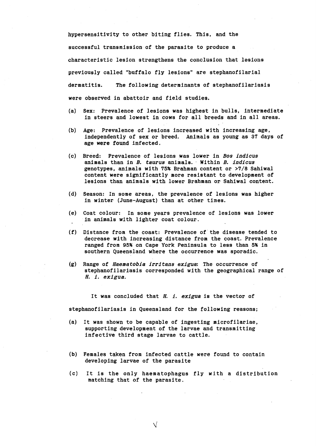hypersensitivity to other biting flies. This, and the successful transmission of the parasite to produce a characteristic lesion strengthens the conclusion that lesions previously called "buffalo fly lesions" are stephanofilarial dermatitis. The following determinants of stephanofilariasis were observed in abattoir and field studies.

- (a) Sex: Prevalence of lesions was highest in bulls, intermediate in steers and lowest in cows for all breeds and in all areas.
- (b) Age: Prevalence of lesions increased with increasing age, independently of sex or breed. Animals as young as 37 days of age were found infected.
- (c) Breed: Prevalence of lesions was lower in Bos indicus animals than in B. taurus animals. Within B. indicus genotypes, animals with 75% Brahman content or >7/8 Sahiwal content were significantly more resistant to development of lesions than animals with lower Brahman or Sahiwal content.
- (d) Season: In some areas, the prevalence of lesions was higher in winter (June-August) than at other times.
- (e) Coat colour: In some years prevalence of lesions was lower in animals with lighter coat colour.
- (f) Distance from the coast: Prevalence of'the disease tended to decrease with increasing distance from the coast. Prevalence ranged from 95% on Cape York Peninsula to less than 5% in southern Queensland where the occurrence was sporadic.
- (g) Range of Haematobia irritans exigua: The occurrence of stephanofilariasis corresponded with the geographical range of H. i. exigua.

It was concluded that  $H.$  *i. exigua* is the vector of

stephanofilariasis in Queensland for the following reasons;

- (a) It was shown to be capable of ingesting microfilariae, supporting development of the larvae and transmitting infective third stage larvae to cattle.
- (b) Females taken from infected cattle were found to contain developing larvae of the parasite

 $\sqrt{}$ 

(c) It is the only haematophagus fly with a distribution matching that of the parasite.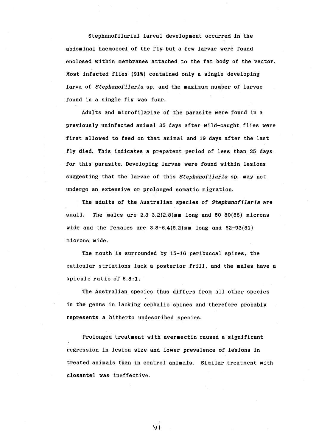Stephanofilarial larval development occurred in the abdominal haemocoel of the fly but a few larvae were found enclosed within membranes attached to the fat body of the vector. Most infected flies (91%) contained only a single developing larva of *Stephanofilaria* sp. and the maximum number of larvae found in a single fly was four.

Adults and microfilariae of the parasite were found in a previously uninfected animal 35 days after wild-caught flies were first allowed to feed on that animal and 19 days after the last fly died. This indicates a prepatent period of less than 35 days for this parasite. Developing larvae were found within lesions suggesting that the larvae of this *Stephanofilaria* sp. may not undergo an extensive or prolonged somatic migration.

The adults of the Australian species of *Stephanofilaria* are small. The males are 2.3-3.2(2.8)mm long and 50-80(68) microns wide and the females are  $3.8-6.4(5.2)$  mm long and  $62-93(81)$ microns wide.

The mouth is surrounded by  $15-16$  peribuccal spines, the cuticular striations lack a posterior frill, and the males have a spicule ratio of 6.8:1.

The Australian species thus differs from all other species in the genus in lacking cephalic spines and therefore probably represents a hitherto undescribed species.

Prolonged treatment with avermectin caused a significant regression in lesion size and lower prevalence of lesions in treated animals than in control animals. Similar treatment with closantel was ineffective.

VI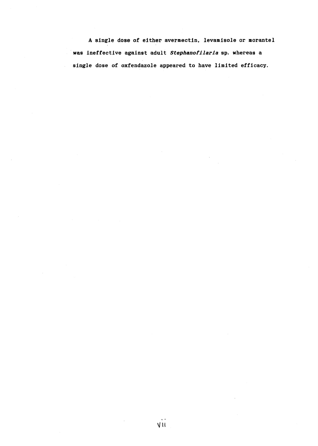A single dose of either avermectin. levamisole or morantel was ineffective against adult *Stephanofilaria* sp. whereas a single dose of oxfendazole appeared to have limited efficacy.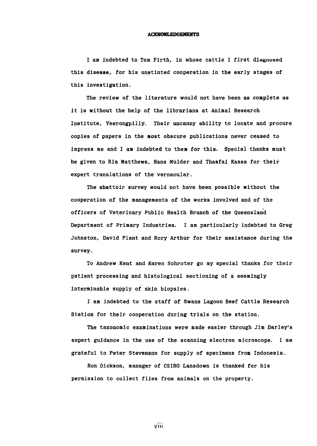#### **ACKNOWLEDGEMENTS**

**! am indebted to Tom Firth, in whose cattle I first diagnosed**  this disease, for his unstinted cooperation in the early stages of this investigation.

The review of the literature would not have been as complete as it is without the help of the librarians at Animal Research Institute, Yeerongpilly. Their uncanny ability to locate and procure copies of papers in the most obscure publications never ceased to impress me and I am indebted to them for this. Special thanks must be given to Ria Matthews. Hans Mulder and Thasfai Kassa for their expert translations of the vernacular.

The abattoir survey would not have been possible without the cooperation of the managements of the works involved and of the officers of Veterinary Public Health Branch of the Queensland Department of Primary Industries. I am particularly indebted to Greg Johnston. David Plant and Rory Arthur for their assistance during the survey.

To Andrew Kent and Karen Schroter go my special thanks for their patient processing and histological sectioning of a seemingly interminable supply of skin biopsies.

I am indebted to the staff of Swans Lagoon Beef Cattle Research Station for their cooperation during trials on the station.

The taxonomic examinations were made easier through *Jim* Darley's expert guidance *in* the use of the scanning electron microscope. I am grateful to Peter Stevenson for supply of specimens from Indonesia.

Ron Dickson. manager of CSIRO Lansdown is thanked for his permission to collect flies from animals on the property.

VIII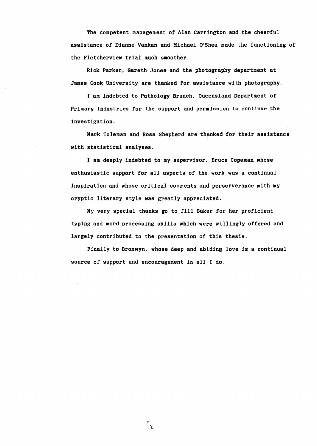The competent management of Alan Carrington and the cheerful assistance of Dianne Vankan and Michael O'Shea made the functioning of the Fletcherview trial much smoother.

Rick Parker, Gareth Jones and the photography department at James Cook University are thanked for assistance with photography.

I am indebted to Pathology Branch, Queensland Department of Primary Industries for the support and permission to continue the investigation.

Mark Toleman and Ross Shepherd are thanked for their assistance with statistical analyses.

I am deeply indebted to my supervisor, Bruce Copeman whose enthusiastic support for all aspects of the work was a continual inspiration and whose critical comments and perserverance with my cryptic literary style was greatly appreciated.

My very special thanks go to. Jill Baker for her proficient typing and word processing skills which were willingly offered and largely contributed to the presentation of this thesis.

Finally to Bronwyn, whose deep and abiQing love is a continual source of support and encouragement *in* all I do.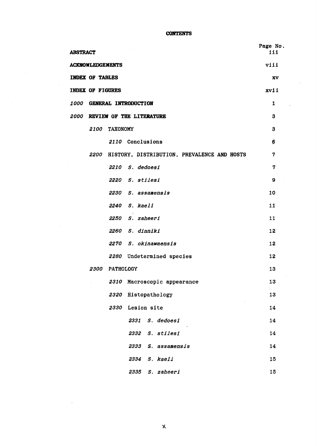**CONTENTS** 

| <b>ABSTRACT</b>                                  | Page No.<br>iit |
|--------------------------------------------------|-----------------|
| <b>ACKNOWLEDGEMENTS</b>                          | viii            |
| <b>INDEX OF TABLES</b>                           | XV              |
| <b>INDEX OF FIGURES</b>                          | xvii            |
| 1000<br><b>GENERAL INTRODUCTION</b>              | 1               |
| <b>2000 REVIEW OF THE LITERATURE</b>             | 3               |
| <i><b>2100</b></i><br><b>TAXONOMY</b>            | 3               |
| 2110 Conclusions                                 | 6               |
| 2200 HISTORY, DISTRIBUTION, PREVALENCE AND HOSTS | 7               |
| 2210 S. dedoesi                                  | 7               |
| 2220 S. stilesi                                  | 9               |
| 2230 S. assamensis                               | 10              |
| 2240 S. kaeli                                    | 11              |
| 2250<br>S. zaheeri                               | 11              |
| 2260 S. dinniki                                  | 12              |
| 2270 S. okinawaensis                             | 12              |
| 2280 Undetermined species                        | 12              |
| 2300 PATHOLOGY                                   | 13              |
| Macroscopic appearance<br>2310                   | 13              |
| Histopathology<br>2320                           | 13              |
| 2330<br>Lesion site                              | 14              |
| S. dedoesi<br>2331                               | 14              |
| 2332<br>S. stilesi                               | 14              |
| 2333<br>S. assamensis                            | 14              |
| 2334<br>S. kaeli                                 | 15              |
| S. zaheeri<br>2335                               | 15              |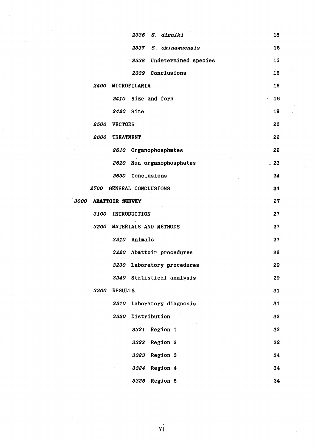|                    | 2336 S. dinniki              | 15    |
|--------------------|------------------------------|-------|
|                    | 2337 S. okinawaensis         | 15    |
|                    | 2338<br>Undetermined species | 15    |
|                    | Conclusions<br>2339          | 16    |
| <i><b>2400</b></i> | MICROFILARIA                 | 16    |
|                    | 2410 Size and form           | 16    |
|                    | 2420 Site                    | 19    |
| 2500               | <b>VECTORS</b>               | 20    |
| 2600               | <b>TREATMENT</b>             | 22    |
|                    | 2610 Organophosphates        | 22    |
|                    | Non organophosphates<br>2620 | $-23$ |
|                    | Conclusions<br>2630          | 24    |
|                    | 2700 GENERAL CONCLUSIONS     | 24    |
| 3000               | <b>ABATTOIR SURVEY</b>       | 27    |
| <i><b>3100</b></i> | <b>INTRODUCTION</b>          | 27    |
|                    | 3200 MATERIALS AND METHODS   | 27    |
|                    | 3210 Animals                 | 27    |
|                    | 3220 Abattoir procedures     | 28    |
|                    | 3230 Laboratory procedures   | 29    |
|                    | 3240 Statistical analysis    | 29    |
| 3300               | <b>RESULTS</b>               | 31    |
|                    | Laboratory diagnosis<br>3310 | 31    |
|                    | Distribution<br>3320         | 32    |
|                    | 3321<br>Region 1             | 32    |
|                    | Region 2<br>3322             | 32    |
|                    | Region 3<br>3323             | 34    |
|                    | Region 4<br>3324             | 34    |
|                    | Region 5<br>3325             | 34    |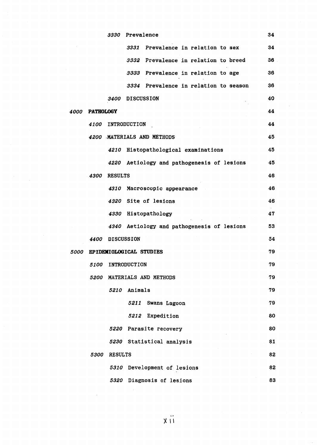|                    |                    | 3330               | Prevalence                                 | 34        |
|--------------------|--------------------|--------------------|--------------------------------------------|-----------|
|                    |                    |                    | Prevalence in relation to sex<br>3331      | 34        |
|                    |                    |                    | 3332 Prevalence in relation to breed       | <b>36</b> |
|                    |                    |                    | 3333 Prevalence in relation to age         | 36        |
|                    |                    |                    | 3334 Prevalence in relation to season      | 36        |
|                    |                    |                    | 3400 DISCUSSION                            | 40        |
| <i><b>4000</b></i> | <b>PATHOLOGY</b>   |                    |                                            | 44        |
|                    |                    |                    | 4100 INTRODUCTION                          | 44        |
|                    |                    |                    | 4200 MATERIALS AND METHODS                 | 45        |
|                    |                    |                    | 4210 Histopathological examinations        | 45        |
|                    |                    |                    | 4220 Aetiology and pathogenesis of lesions | 45        |
|                    | 4300               | <b>RESULTS</b>     |                                            | 46        |
|                    |                    | 4310               | Macroscopic appearance                     | 46        |
|                    |                    |                    | 4320 Site of lesions                       | 46        |
|                    |                    |                    | 4330 Histopathology                        | 47        |
|                    |                    |                    | 4340 Aetiology and pathogenesis of lesions | 53        |
|                    | 4400               |                    | <b>DISCUSSION</b>                          | 54        |
| <i><b>5000</b></i> |                    |                    | EPIDEMIOLOGICAL STUDIES                    | 79        |
|                    | <i><b>5100</b></i> |                    | INTRODUCTION                               | 79        |
|                    | <i><b>5200</b></i> |                    | MATERIALS AND METHODS                      | 79        |
|                    |                    | 5210               | Animals                                    | 79        |
|                    |                    |                    | 5211<br>Swans Lagoon                       | 79        |
|                    |                    |                    | 5212<br>Expedition                         | 80        |
|                    |                    |                    | 5220 Parasite recovery                     | 80        |
|                    |                    |                    | 5230 Statistical analysis                  | 81        |
|                    | <i><b>5300</b></i> | <b>RESULTS</b>     |                                            | 82        |
|                    |                    | <i><b>5310</b></i> | Development of lesions                     | 82        |
|                    |                    |                    | 5320 Diagnosis of lesions                  | 83        |

 $\ddot{x}$   $\ddot{1}$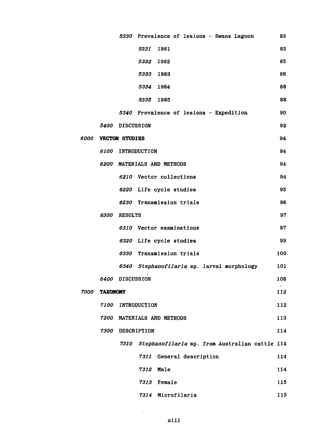|      |                    |                   | 5330 Prevalence of lesions - Swans Lagoon           | 83  |
|------|--------------------|-------------------|-----------------------------------------------------|-----|
|      |                    |                   | 5331<br>1981                                        | 83  |
|      |                    |                   | 5332<br>1982                                        | 85  |
|      |                    |                   | 5333<br>1983                                        | 86  |
|      |                    |                   | 5334 1984                                           | 88  |
|      |                    |                   | 1985<br>5335                                        | 88  |
|      |                    |                   | 5340 Prevalence of lesions - Expedition             | 90  |
|      | <i><b>5400</b></i> | <b>DISCUSSION</b> |                                                     | 92  |
| 6000 |                    | VECTOR STUDIES    |                                                     | 94  |
|      | <i><b>6100</b></i> |                   | <b>INTRODUCTION</b>                                 | 94  |
|      |                    |                   | 6200 MATERIALS AND METHODS                          | 94  |
|      |                    |                   | 6210 Vector collections                             | 94  |
|      |                    |                   | 6220 Life cycle studies                             | 95  |
|      |                    |                   | 6230 Transmission trials                            | 96  |
|      | 6300               | <b>RESULTS</b>    |                                                     | 97  |
|      |                    |                   | 6310 Vector examinations                            | 97  |
|      |                    |                   | 6320 Life cycle studies                             | 99  |
|      |                    |                   | 6330 Transmission trials                            | 100 |
|      |                    | 6340              | Stephanofilaria sp. larval morphology               | 101 |
|      |                    | 6400 DISCUSSION   |                                                     | 106 |
| 7000 | <b>TAXONOMY</b>    |                   |                                                     | 112 |
|      | <i><b>7100</b></i> |                   | INTRODUCTION                                        | 112 |
|      |                    |                   | 7200 MATERIALS AND METHODS                          | 113 |
|      | 7300               | DESCRIPTION       |                                                     | 114 |
|      |                    |                   | 7310 Stephanofilaria sp. from Australian cattle 114 |     |
|      |                    |                   | 7311 General description                            | 114 |
|      |                    |                   | 7312<br>Male                                        | 114 |
|      |                    |                   | 7313 Female                                         | 115 |
|      |                    |                   | 7314 Microfilaria                                   | 115 |

*xiii*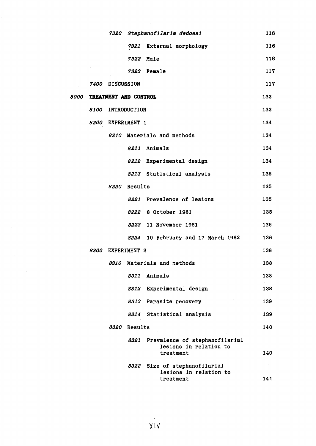|      |                    |                       |              | 7320 Stephanofilaria dedoesi                                               | 116 |
|------|--------------------|-----------------------|--------------|----------------------------------------------------------------------------|-----|
|      |                    |                       |              | 7321 External morphology                                                   | 116 |
|      |                    |                       |              | 7322 Male                                                                  | 116 |
|      |                    |                       |              | 7323 Female                                                                | 117 |
|      |                    | 7400 DISCUSSION       |              |                                                                            | 117 |
| 8000 |                    | TREATMENT AND CONTROL |              |                                                                            | 133 |
|      | <i><b>8100</b></i> |                       | INTRODUCTION |                                                                            | 133 |
|      |                    | 8200 EXPERIMENT 1     |              |                                                                            | 134 |
|      |                    |                       |              | 8210 Materials and methods                                                 | 134 |
|      |                    |                       |              | 8211 Animals                                                               | 134 |
|      |                    |                       |              | 8212 Experimental design                                                   | 134 |
|      |                    |                       |              | 8213 Statistical analysis                                                  | 135 |
|      |                    |                       | 8220 Results |                                                                            | 135 |
|      |                    |                       |              | 8221 Prevalence of lesions                                                 | 135 |
|      |                    |                       |              | 8222 8 October 1981                                                        | 135 |
|      |                    |                       | 8223         | 11 November 1981                                                           | 136 |
|      |                    |                       | 8224         | 10 February and 17 March 1982                                              | 136 |
|      |                    | 8300 EXPERIMENT 2     |              |                                                                            | 138 |
|      |                    |                       |              | 8310 Materials and methods                                                 | 138 |
|      |                    |                       | 8311         | Animals                                                                    | 138 |
|      |                    |                       |              | 8312 Experimental design                                                   | 138 |
|      |                    |                       |              | 8313 Parasite recovery                                                     | 139 |
|      |                    |                       |              | 8314 Statistical analysis                                                  | 139 |
|      |                    | 8320                  | Results      |                                                                            | 140 |
|      |                    |                       |              | 8321 Prevalence of stephanofilarial<br>lesions in relation to<br>treatment | 140 |
|      |                    |                       |              | 8322 Size of stephanofilarial<br>lesions in relation to<br>treatment       | 141 |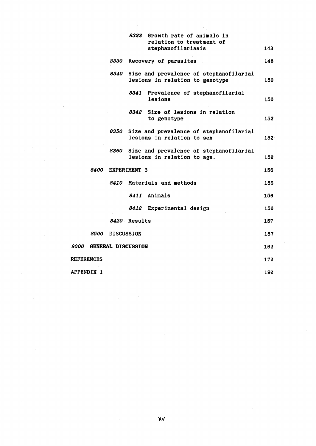|                   |      |                    | 8323<br>Growth rate of animals in<br>relation to treatment of<br>stephanofilariasis | 143 |
|-------------------|------|--------------------|-------------------------------------------------------------------------------------|-----|
|                   |      |                    | 8330 Recovery of parasites                                                          | 148 |
|                   |      | 8340               | Size and prevalence of stephanofilarial<br>lesions in relation to genotype          | 150 |
|                   |      |                    | 8341 Prevalence of stephanofilarial<br>lesions                                      | 150 |
|                   |      |                    | 8342 Size of lesions in relation<br>to genotype                                     | 152 |
|                   |      | 8350               | Size and prevalence of stephanofilarial<br>lesions in relation to sex               | 152 |
|                   |      | 8360               | Size and prevalence of stephanofilarial<br>lesions in relation to age.              | 152 |
|                   | 8400 |                    | EXPERIMENT 3                                                                        | 156 |
|                   |      | <i><b>8410</b></i> | Materials and methods                                                               | 156 |
|                   |      |                    | 8411 Animals                                                                        | 156 |
|                   |      |                    | 8412<br>Experimental design                                                         | 156 |
|                   |      |                    | 8420 Results                                                                        | 157 |
|                   | 8500 |                    | <b>DISCUSSION</b>                                                                   | 157 |
| 9000              |      |                    | <b>GENERAL DISCUSSION</b>                                                           | 162 |
| <b>REFERENCES</b> |      |                    |                                                                                     | 172 |
| APPENDIX 1        |      |                    |                                                                                     | 192 |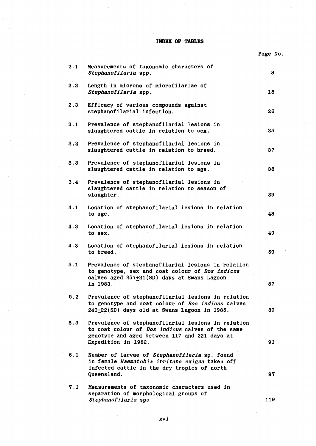**INDEX OF TABLES** 

|     |                                                                                                                                                                                | Page No. |
|-----|--------------------------------------------------------------------------------------------------------------------------------------------------------------------------------|----------|
| 2.1 | Measurements of taxonomic characters of<br>Stephanofilaria spp.                                                                                                                | 8        |
| 2.2 | Length in microns of microfilariae of<br>Stephanofilaria spp.                                                                                                                  | 18       |
| 2.3 | Efficacy of various compounds against<br>stephanofilarial infection.                                                                                                           | 26       |
| 3.1 | Prevalence of stephanofilarial lesions in<br>slaughtered cattle in relation to sex.                                                                                            | 35       |
| 3.2 | Prevalence of stephanofilarial lesions in<br>slaughtered cattle in relation to breed.                                                                                          | 37       |
| 3.3 | Prevalence of stephanofilarial lesions in<br>slaughtered cattle in relation to age.                                                                                            | 38       |
| 3.4 | Prevalence of stephanofilarial lesions in<br>slaughtered cattle in relation to season of<br>slaughter.                                                                         | 39       |
| 4.1 | Location of stephanofilarial lesions in relation<br>to age.                                                                                                                    | 48       |
| 4.2 | Location of stephanofilarial lesions in relation<br>to sex.                                                                                                                    | 49       |
| 4.3 | Location of stephanofilarial lesions in relation<br>to breed.                                                                                                                  | 50       |
| 5.1 | Prevalence of stephanofilarial lesions in relation<br>to genotype, sex and coat colour of Bos indicus<br>calves aged 257+21(SD) days at Swans Lagoon<br>in 1983.               | 87       |
| 5.2 | Prevalence of stephanofilarial lesions in relation<br>to genotype and coat colour of Bos indicus calves<br>240+22(SD) days old at Swans Lagoon in 1985.                        | 89       |
| 5.3 | Prevalence of stephanofilarial lesions in relation<br>to coat colour of Bos indicus calves of the same<br>genotype and aged between 117 and 221 days at<br>Expedition in 1982. | 91       |
| 6.1 | Number of larvae of Stephanofilaria sp. found<br>in female Haematobia irritans exigua taken off<br>infected cattle in the dry tropics of north<br>Queensland.                  | 97       |
| 7.1 | Measurements of taxonomic characters used in<br>separation of morphological groups of<br>Stephanofilaria spp.                                                                  | 119      |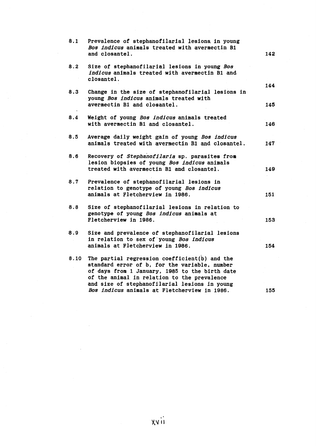| 8.1  | Prevalence of stephanofilarial lesions in young<br>Bos indicus animals treated with avermectin B1<br>and closantel.                                                                                                                              | 142 |
|------|--------------------------------------------------------------------------------------------------------------------------------------------------------------------------------------------------------------------------------------------------|-----|
| 8.2  | Size of stephanofilarial lesions in young Bos<br>indicus animals treated with avermectin B1 and<br>closantel.                                                                                                                                    | 144 |
| 8.3  | Change in the size of stephanofilarial lesions in<br>young Bos indicus animals treated with<br>avermectin B1 and closantel.                                                                                                                      | 145 |
| 8.4  | Weight of young Bos indicus animals treated<br>with avermectin B1 and closantel.                                                                                                                                                                 | 146 |
| 8.5  | Average daily weight gain of young Bos indicus<br>animals treated with avermectin B1 and closantel.                                                                                                                                              | 147 |
| 8.6  | Recovery of Stephanofilaria sp. parasites from<br>lesion biopsies of young Bos indicus animals<br>treated with avermectin B1 and closantel.                                                                                                      | 149 |
| 8.7  | Prevalence of stephanofilarial lesions in<br>relation to genotype of young Bos indicus<br>animals at Fletcherview in 1986.                                                                                                                       | 151 |
| 8.8  | Size of stephanofilarial lesions in relation to<br>genotype of young Bos indicus animals at<br>Fletcherview in 1986.                                                                                                                             | 153 |
| 8.9  | Size and prevalence of stephanofilarial lesions<br>in relation to sex of young Bos indicus<br>animals at Fletcherview in 1986.                                                                                                                   | 154 |
| 8.10 | The partial regression coefficient(b) and the<br>standard error of b, for the variable, number<br>of days from 1 January, 1985 to the birth date<br>of the animal in relation to the prevalence<br>and size of stephanofilarial lesions in young |     |
|      | Bos indicus animals at Fletcherview in 1986.                                                                                                                                                                                                     | 155 |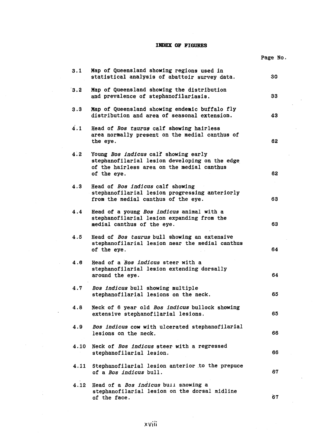## **INDEX OF FIGURES**

|      |                                                                                                                                                     | Page No. |
|------|-----------------------------------------------------------------------------------------------------------------------------------------------------|----------|
| 3.1  | Map of Queensland showing regions used in<br>statistical analysis of abattoir survey data.                                                          | 30       |
| 3.2  | Map of Queensland showing the distribution<br>and prevalence of stephanofilariasis.                                                                 | 33       |
| 3.3  | Map of Queensland showing endemic buffalo fly<br>distribution and area of seasonal extension.                                                       | 43       |
| 4.1  | Head of Bos taurus calf showing hairless<br>area normally present on the medial canthus of<br>the eye.                                              | 62       |
| 4.2  | Young Bos indicus calf showing early<br>stephanofilarial lesion developing on the edge<br>of the hairless area on the medial canthus<br>of the eye. | 62       |
| 4.3  | Head of Bos indicus calf showing<br>stephanofilarial lesion progressing anteriorly<br>from the medial canthus of the eye.                           | 63       |
| 4.4  | Head of a young Bos indicus animal with a<br>stephanofilarial lesion expanding from the<br>medial canthus of the eye.                               | 63       |
| 4.5  | Head of Bos taurus bull showing an extensive<br>stephanofilarial lesion near the medial canthus<br>of the eye.                                      | 64       |
| 4.6  | Head of a <i>Bos indicus</i> steer with a<br>stephanofilarial lesion extending dorsally<br>around the eye.                                          | 64       |
| 4.7  | Bos indicus bull showing multiple<br>stephanofilarial lesions on the neck.                                                                          | 65       |
| 4.8  | Neck of 6 year old Bos indicus bullock showing<br>extensive stephanofilarial lesions.                                                               | 65       |
| 4.9  | Bos indicus cow with ulcerated stephanofilarial<br>lesions on the neck.                                                                             | 66       |
| 4.10 | Neck of Bos indicus steer with a regressed<br>stephanofilarial lesion.                                                                              | 66       |
| 4.11 | Stephanofilarial lesion anterior to the prepuce<br>of a Bos indicus bull.                                                                           | 67       |
| 4.12 | Head of a Bos indicus bull snowing a<br>stephanofilarial lesion on the dorsal midline<br>of the face.                                               | 67       |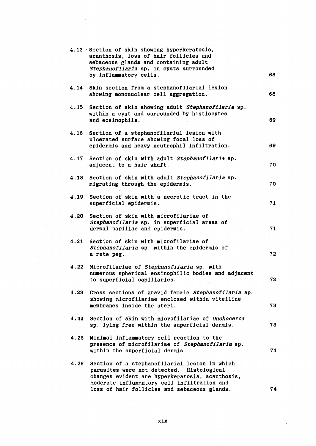|      | 4.13 Section of skin showing hyperkeratosis,<br>acanthosis, loss of hair follicles and<br>sebaceous glands and containing adult<br>Stephanofilaria sp. in cysts surrounded                   |    |
|------|----------------------------------------------------------------------------------------------------------------------------------------------------------------------------------------------|----|
|      | by inflammatory cells.                                                                                                                                                                       | 68 |
| 4.14 | Skin section from a stephanofilarial lesion<br>showing mononuclear cell aggregation.                                                                                                         | 68 |
| 4.15 | Section of skin showing adult Stephanofilaria sp.<br>within a cyst and surrounded by histiocytes<br>and eosinophils.                                                                         | 69 |
| 4.16 | Section of a stephanofilarial lesion with<br>ulcerated surface showing focal loss of<br>epidermis and heavy neutrophil infiltration.                                                         | 69 |
| 4.17 | Section of skin with adult Stephanofilaria sp.<br>adjacent to a hair shaft.                                                                                                                  | 70 |
| 4.18 | Section of skin with adult Stephanofilaria sp.<br>migrating through the epidermis.                                                                                                           | 70 |
| 4.19 | Section of skin with a necrotic tract in the<br>superficial epidermis.                                                                                                                       | 71 |
| 4.20 | Section of skin with microfilariae of<br>Stephanofilaria sp. in superficial areas of<br>dermal papillae and epidermis.                                                                       | 71 |
| 4.21 | Section of skin with microfilariae of<br>Stephanofilaria sp. within the epidermis of<br>a rete peg.                                                                                          | 72 |
| 4.22 | Microfilariae of Stephanofilaria sp. with<br>numerous spherical eosinophilic bodies and adjacent<br>to superficial capillaries.                                                              | 72 |
| 4.23 | Cross sections of gravid female Stephanofilaria sp.<br>showing microfilariae enclosed within vitelline<br>membranes inside the uteri.                                                        | 73 |
| 4.24 | Section of skin with microfilariae of Onchocerca<br>sp. lying free within the superficial dermis.                                                                                            | 73 |
| 4.25 | Minimal inflammatory cell reaction to the<br>presence of microfilariae of Stephanofilaria sp.<br>within the superficial dermis.                                                              | 74 |
| 4.26 | Section of a stephanofilarial lesion in which<br>parasites were not detected. Histological<br>changes evident are hyperkeratosis, acanthosis,<br>moderate inflammatory cell infiltration and |    |
|      | loss of hair follicles and sebaceous glands.                                                                                                                                                 | 74 |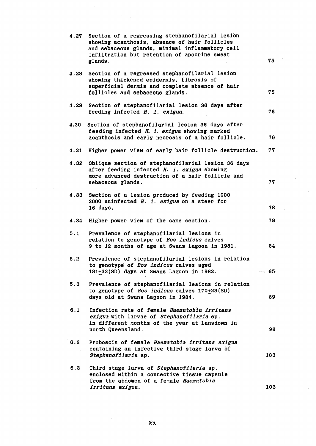|      | 4.27 Section of a regressing stephanofilarial lesion<br>showing acanthosis, absence of hair follicles<br>and sebaceous glands, minimal inflammatory cell<br>infiltration but retention of apocrine sweat<br>glands. | 75    |
|------|---------------------------------------------------------------------------------------------------------------------------------------------------------------------------------------------------------------------|-------|
| 4.28 | Section of a regressed stephanofilarial lesion<br>showing thickened epidermis, fibrosis of<br>superficial dermis and complete absence of hair<br>follicles and sebaceous glands.                                    | 75    |
| 4.29 | Section of stephanofilarial lesion 36 days after<br>feeding infected H. i. exigua.                                                                                                                                  | 76    |
| 4.30 | Section of stephanofilarial lesion 36 days after<br>feeding infected H. i. exigua showing marked<br>acanthosis and early necrosis of a hair follicle.                                                               | 76    |
| 4.31 | Higher power view of early hair follicle destruction.                                                                                                                                                               | 77    |
|      | 4.32 Oblique section of stephanofilarial lesion 36 days<br>after feeding infected H. i. exigua showing<br>more advanced destruction of a hair follicle and<br>sebaceous glands.                                     | 77    |
| 4.33 | Section of a lesion produced by feeding 1000 -<br>2000 uninfected H. i. exigua on a steer for<br>16 days.                                                                                                           | 78    |
| 4.34 | Higher power view of the same section.                                                                                                                                                                              | 78    |
| 5.1  | Prevalence of stephanofilarial lesions in<br>relation to genotype of Bos indicus calves<br>9 to 12 months of age at Swans Lagoon in 1981.                                                                           | 84    |
| 5.2  | Prevalence of stephanofilarial lesions in relation<br>to genotype of Bos indicus calves aged<br>181+33(SD) days at Swans Lagoon in 1982.                                                                            | —⊤ 85 |
|      | 5.3 Prevalence of stephanofilarial lesions in relation<br>to genotype of <i>Bos indicus</i> calves $170+23(SD)$<br>days old at Swans Lagoon in 1984.                                                                | 89    |
| 6.1  | Infection rate of female Haematobia irritans<br>exigua with larvae of Stephanofilaria sp.<br>in different months of the year at Lansdown in<br>north Queensland.                                                    | 98    |
| 6.2  | Proboscis of female Haematobia irritans exigua<br>containing an infective third stage larva of<br>Stephanofilaria sp.                                                                                               | 103   |
| 6.3  | Third stage larva of Stephanofilaria sp.<br>enclosed within a connective tissue capsule<br>from the abdomen of a female Haematobia                                                                                  |       |
|      | irritans exigua.                                                                                                                                                                                                    | 103   |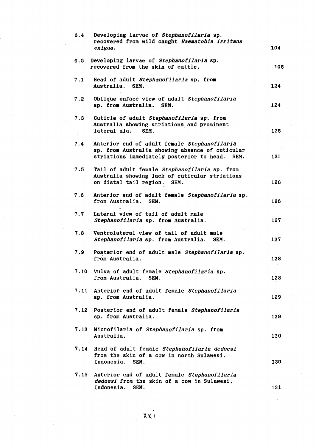| 6.4  | Developing larvae of Stephanofilaria sp.<br>recovered from wild caught Haematobia irritans<br>exigua.                                                | 104 |
|------|------------------------------------------------------------------------------------------------------------------------------------------------------|-----|
| 6.5  | Developing larvae of Stephanofilaria sp.<br>recovered from the skin of cattle.                                                                       | 105 |
| 7.1  | Head of adult Stephanofilaria sp. from<br>Australia. SEM.                                                                                            | 124 |
| 7.2  | Oblique enface view of adult Stephanofilaria<br>sp. from Australia. SEM.                                                                             | 124 |
| 7.3  | Cuticle of adult Stephanofilaria sp. from<br>Australia showing striations and prominent<br>lateral ala.<br>SEM.                                      | 125 |
| 7.4  | Anterior end of adult female Stephanofilaria<br>sp. from Australia showing absence of cuticular<br>striations immediately posterior to head.<br>SEM. | 125 |
| 7.5  | Tail of adult female Stephanofilaria sp. from<br>Australia showing lack of cuticular striations<br>on distal tail region. SEM.                       | 126 |
| 7.6  | Anterior end of adult female Stephanofilaria sp.<br>from Australia.<br>SEM.                                                                          | 126 |
| 7.7  | Lateral view of tail of adult male<br>Stephanofilaria sp. from Australia.                                                                            | 127 |
| 7.8  | Ventrolateral view of tail of adult male<br>Stephanofilaria sp. from Australia.<br>SEM.                                                              | 127 |
| 7.9  | Posterior end of adult male Stephanofilaria sp.<br>from Australia.                                                                                   | 128 |
| 7.10 | Vulva of adult female Stephanofilaria sp.<br>from Australia.<br>SEM.                                                                                 | 128 |
| 7.11 | Anterior end of adult female Stephanofilaria<br>sp. from Australia.                                                                                  | 129 |
|      | 7.12 Posterior end of adult female Stephanofilaria<br>sp. from Australia.                                                                            | 129 |
|      | 7.13 Microfilaria of Stephanofilaria sp. from<br>Australia.                                                                                          | 130 |
|      | 7.14 Head of adult female Stephanofilaria dedoesi<br>from the skin of a cow in north Sulawesi.<br>Indonesia.<br>SEM.                                 | 130 |
| 7.15 | Anterior end of adult female Stephanofilaria<br>dedoesi from the skin of a cow in Sulawesi,<br>Indonesia.<br>SEM.                                    | 131 |